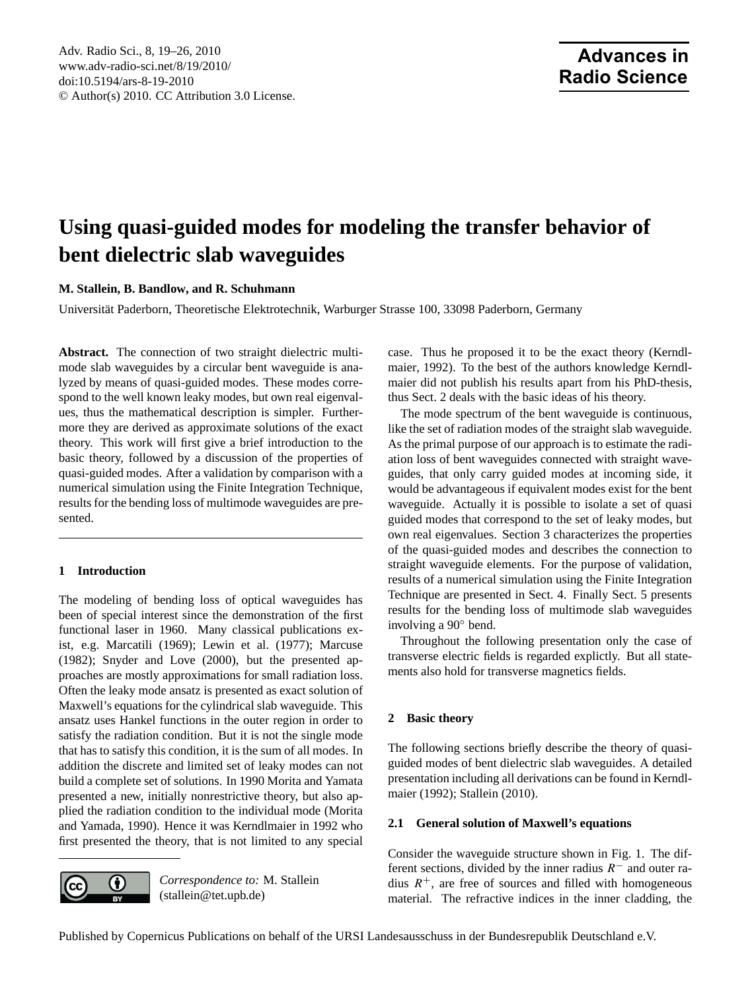# <span id="page-0-1"></span>**Using quasi-guided modes for modeling the transfer behavior of bent dielectric slab waveguides**

**M. Stallein, B. Bandlow, and R. Schuhmann**

Universitat Paderborn, Theoretische Elektrotechnik, Warburger Strasse 100, 33098 Paderborn, Germany ¨

**Abstract.** The connection of two straight dielectric multimode slab waveguides by a circular bent waveguide is analyzed by means of quasi-guided modes. These modes correspond to the well known leaky modes, but own real eigenvalues, thus the mathematical description is simpler. Furthermore they are derived as approximate solutions of the exact theory. This work will first give a brief introduction to the basic theory, followed by a discussion of the properties of quasi-guided modes. After a validation by comparison with a numerical simulation using the Finite Integration Technique, results for the bending loss of multimode waveguides are presented.

## **1 Introduction**

The modeling of bending loss of optical waveguides has been of special interest since the demonstration of the first functional laser in 1960. Many classical publications exist, e.g. [Marcatili](#page-7-0) [\(1969\)](#page-7-0); [Lewin et al.](#page-7-1) [\(1977\)](#page-7-1); [Marcuse](#page-7-2) [\(1982\)](#page-7-2); [Snyder and Love](#page-7-3) [\(2000\)](#page-7-3), but the presented approaches are mostly approximations for small radiation loss. Often the leaky mode ansatz is presented as exact solution of Maxwell's equations for the cylindrical slab waveguide. This ansatz uses Hankel functions in the outer region in order to satisfy the radiation condition. But it is not the single mode that has to satisfy this condition, it is the sum of all modes. In addition the discrete and limited set of leaky modes can not build a complete set of solutions. In 1990 Morita and Yamata presented a new, initially nonrestrictive theory, but also applied the radiation condition to the individual mode [\(Morita](#page-7-4) [and Yamada,](#page-7-4) [1990\)](#page-7-4). Hence it was Kerndlmaier in 1992 who first presented the theory, that is not limited to any special



*Correspondence to:* M. Stallein (stallein@tet.upb.de)

case. Thus he proposed it to be the exact theory [\(Kerndl](#page-7-5)[maier,](#page-7-5) [1992\)](#page-7-5). To the best of the authors knowledge Kerndlmaier did not publish his results apart from his PhD-thesis, thus Sect. [2](#page-0-0) deals with the basic ideas of his theory.

The mode spectrum of the bent waveguide is continuous, like the set of radiation modes of the straight slab waveguide. As the primal purpose of our approach is to estimate the radiation loss of bent waveguides connected with straight waveguides, that only carry guided modes at incoming side, it would be advantageous if equivalent modes exist for the bent waveguide. Actually it is possible to isolate a set of quasi guided modes that correspond to the set of leaky modes, but own real eigenvalues. Section [3](#page-3-0) characterizes the properties of the quasi-guided modes and describes the connection to straight waveguide elements. For the purpose of validation, results of a numerical simulation using the Finite Integration Technique are presented in Sect. [4.](#page-4-0) Finally Sect. [5](#page-6-0) presents results for the bending loss of multimode slab waveguides involving a 90◦ bend.

Throughout the following presentation only the case of transverse electric fields is regarded explictly. But all statements also hold for transverse magnetics fields.

## <span id="page-0-0"></span>**2 Basic theory**

The following sections briefly describe the theory of quasiguided modes of bent dielectric slab waveguides. A detailed presentation including all derivations can be found in [Kerndl](#page-7-5)[maier](#page-7-5) [\(1992\)](#page-7-5); [Stallein](#page-7-6) [\(2010\)](#page-7-6).

## **2.1 General solution of Maxwell's equations**

Consider the waveguide structure shown in Fig. [1.](#page-1-0) The different sections, divided by the inner radius  $R^-$  and outer radius  $R^+$ , are free of sources and filled with homogeneous material. The refractive indices in the inner cladding, the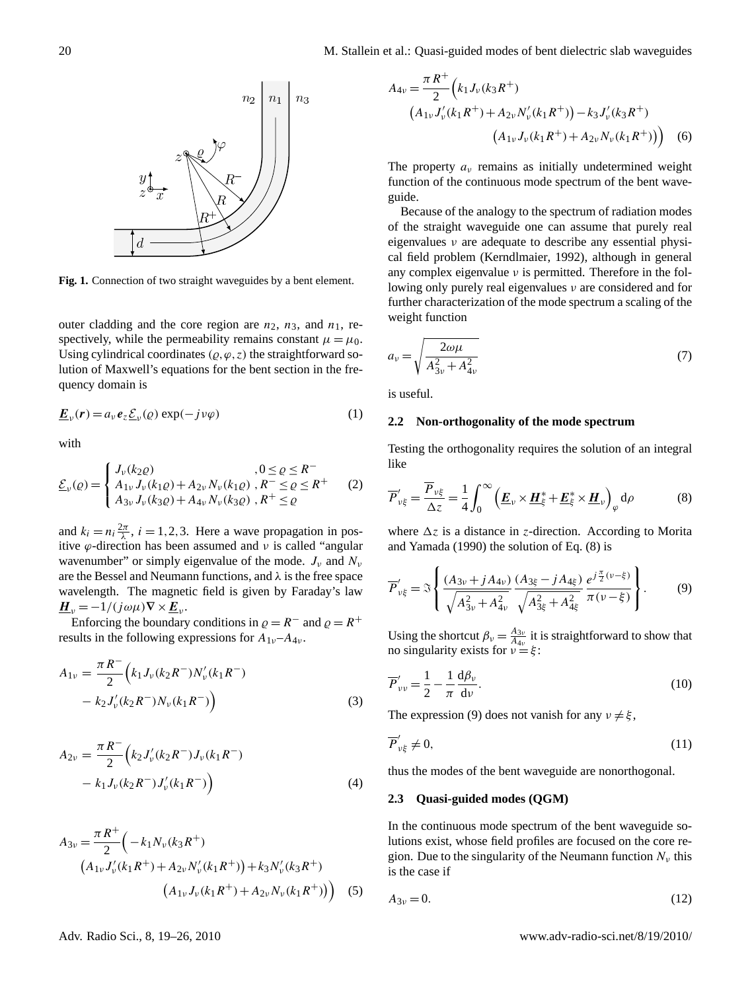

<span id="page-1-0"></span>**Fig. 1.** Connection of two straight waveguides by a bent element.

outer cladding and the core region are  $n_2$ ,  $n_3$ , and  $n_1$ , respectively, while the permeability remains constant  $\mu = \mu_0$ . Using cylindrical coordinates  $(\varrho, \varphi, z)$  the straightforward solution of Maxwell's equations for the bent section in the frequency domain is

$$
\underline{\boldsymbol{E}}_{\nu}(\boldsymbol{r}) = a_{\nu} \boldsymbol{e}_{z} \underline{\mathcal{E}}_{\nu}(\varrho) \exp(-j \nu \varphi)
$$
 (1)

with

$$
\underline{\mathcal{E}}_{\nu}(\varrho) = \begin{cases}\nJ_{\nu}(k_2 \varrho) & , 0 \le \varrho \le R^{-} \\
A_{1\nu} J_{\nu}(k_1 \varrho) + A_{2\nu} N_{\nu}(k_1 \varrho) & , R^{-} \le \varrho \le R^{+} \\
A_{3\nu} J_{\nu}(k_3 \varrho) + A_{4\nu} N_{\nu}(k_3 \varrho) & , R^{+} \le \varrho\n\end{cases}
$$
\n(2)

and  $k_i = n_i \frac{2\pi}{\lambda}$ ,  $i = 1, 2, 3$ . Here a wave propagation in positive  $\varphi$ -direction has been assumed and v is called "angular wavenumber" or simply eigenvalue of the mode.  $J_{\nu}$  and  $N_{\nu}$ are the Bessel and Neumann functions, and  $\lambda$  is the free space wavelength. The magnetic field is given by Faraday's law  $\underline{\boldsymbol{H}}_{\nu} = -1/(j\omega\mu)\nabla \times \underline{\boldsymbol{E}}_{\nu}.$ 

Enforcing the boundary conditions in  $\rho = R^-$  and  $\rho = R^+$ results in the following expressions for  $A_{1\nu}-A_{4\nu}$ .

$$
A_{1\nu} = \frac{\pi R^{-}}{2} \Big( k_1 J_{\nu} (k_2 R^{-}) N_{\nu}^{\prime} (k_1 R^{-}) - k_2 J_{\nu}^{\prime} (k_2 R^{-}) N_{\nu} (k_1 R^{-}) \Big) \tag{3}
$$

$$
A_{2\nu} = \frac{\pi R^{-}}{2} \left( k_2 J_{\nu}'(k_2 R^{-}) J_{\nu}(k_1 R^{-}) - k_1 J_{\nu}(k_2 R^{-}) J_{\nu}'(k_1 R^{-}) \right)
$$
\n
$$
(4)
$$

$$
A_{3\nu} = \frac{\pi R^+}{2} \left( -k_1 N_\nu (k_3 R^+) \right)
$$
  
\n
$$
\left( A_{1\nu} J'_\nu (k_1 R^+) + A_{2\nu} N'_\nu (k_1 R^+) \right) + k_3 N'_\nu (k_3 R^+) \left( A_{1\nu} J_\nu (k_1 R^+) + A_{2\nu} N_\nu (k_1 R^+) \right) \tag{5}
$$

$$
A_{4\nu} = \frac{\pi R^+}{2} \Big( k_1 J_\nu (k_3 R^+) \n\Big( A_{1\nu} J'_\nu (k_1 R^+) + A_{2\nu} N'_\nu (k_1 R^+) \Big) - k_3 J'_\nu (k_3 R^+) \n\Big( A_{1\nu} J_\nu (k_1 R^+) + A_{2\nu} N_\nu (k_1 R^+) \Big) \Big) \tag{6}
$$

The property  $a<sub>v</sub>$  remains as initially undetermined weight function of the continuous mode spectrum of the bent waveguide.

Because of the analogy to the spectrum of radiation modes of the straight waveguide one can assume that purely real eigenvalues ν are adequate to describe any essential physical field problem [\(Kerndlmaier,](#page-7-5) [1992\)](#page-7-5), although in general any complex eigenvalue  $\nu$  is permitted. Therefore in the following only purely real eigenvalues ν are considered and for further characterization of the mode spectrum a scaling of the weight function

$$
a_{\nu} = \sqrt{\frac{2\omega\mu}{A_{3\nu}^2 + A_{4\nu}^2}}\tag{7}
$$

is useful.

#### **2.2 Non-orthogonality of the mode spectrum**

<span id="page-1-1"></span>Testing the orthogonality requires the solution of an integral like

$$
\overline{P}_{\nu\xi}' = \frac{\overline{P}_{\nu\xi}}{\Delta z} = \frac{1}{4} \int_0^\infty \left( \underline{E}_{\nu} \times \underline{H}_{\xi}^* + \underline{E}_{\xi}^* \times \underline{H}_{\nu} \right)_{\varphi} d\rho \tag{8}
$$

<span id="page-1-2"></span>where  $\Delta z$  is a distance in z-direction. According to [Morita](#page-7-4) [and Yamada](#page-7-4) [\(1990\)](#page-7-4) the solution of Eq. [\(8\)](#page-1-1) is

$$
\overline{P}'_{\nu\xi} = \Im \left\{ \frac{(A_{3\nu} + jA_{4\nu})}{\sqrt{A_{3\nu}^2 + A_{4\nu}^2}} \frac{(A_{3\xi} - jA_{4\xi})}{\sqrt{A_{3\xi}^2 + A_{4\xi}^2}} \frac{e^{j\frac{\pi}{2}(\nu - \xi)}}{\pi(\nu - \xi)} \right\}.
$$
(9)

Using the shortcut  $\beta_v = \frac{A_{3v}}{A_{4v}}$  $\frac{A_{3\nu}}{A_{4\nu}}$  it is straightforward to show that no singularity exists for  $v = \xi$ :

$$
\overline{P}_{\nu\nu}^{\prime} = \frac{1}{2} - \frac{1}{\pi} \frac{d\beta_{\nu}}{d\nu}.
$$
\n(10)

The expression [\(9\)](#page-1-2) does not vanish for any  $v \neq \xi$ ,

$$
\overline{P}'_{\nu\xi} \neq 0,\tag{11}
$$

thus the modes of the bent waveguide are nonorthogonal.

#### **2.3 Quasi-guided modes (QGM)**

In the continuous mode spectrum of the bent waveguide solutions exist, whose field profiles are focused on the core region. Due to the singularity of the Neumann function  $N_{\nu}$  this is the case if

<span id="page-1-3"></span>
$$
A_{3\nu} = 0.\t(12)
$$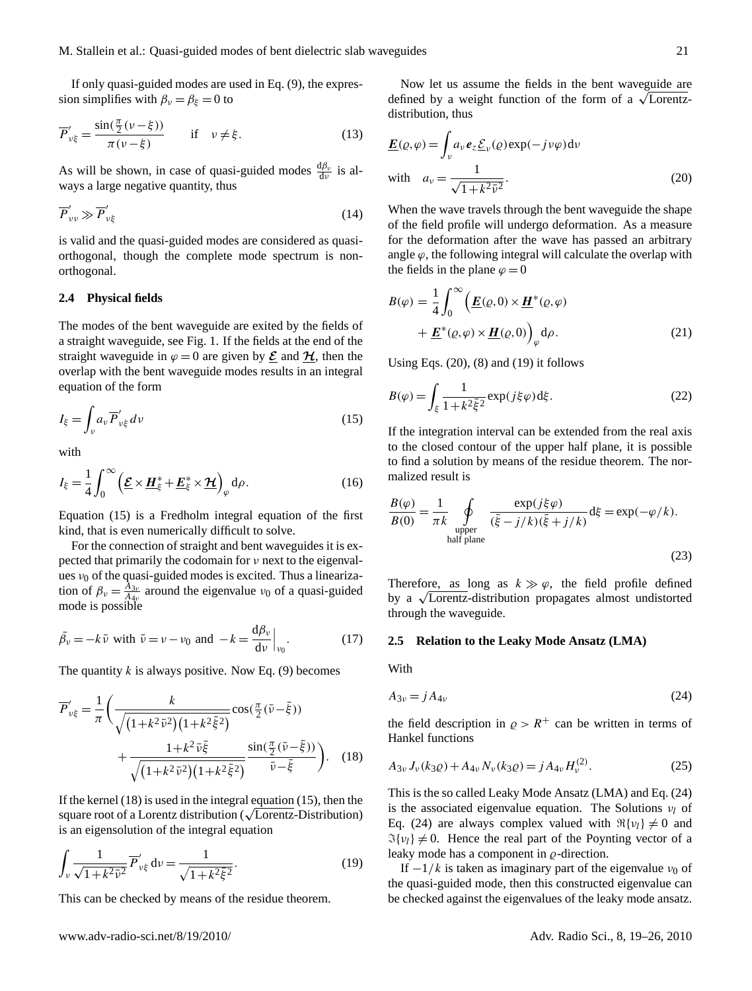If only quasi-guided modes are used in Eq. [\(9\)](#page-1-2), the expression simplifies with  $\beta_{\nu} = \beta_{\xi} = 0$  to

$$
\overline{P}'_{\nu\xi} = \frac{\sin(\frac{\pi}{2}(\nu - \xi))}{\pi(\nu - \xi)} \quad \text{if} \quad \nu \neq \xi. \tag{13}
$$

As will be shown, in case of quasi-guided modes  $\frac{d\beta_v}{dv}$  is always a large negative quantity, thus

$$
\overline{P}_{\nu\nu}^{\prime}\gg\overline{P}_{\nu\xi}^{\prime}
$$
 (14)

is valid and the quasi-guided modes are considered as quasiorthogonal, though the complete mode spectrum is nonorthogonal.

#### <span id="page-2-5"></span>**2.4 Physical fields**

The modes of the bent waveguide are exited by the fields of a straight waveguide, see Fig. [1.](#page-1-0) If the fields at the end of the straight waveguide in  $\varphi = 0$  are given by  $\underline{\mathcal{E}}$  and  $\underline{\mathcal{H}}$ , then the overlap with the bent waveguide modes results in an integral equation of the form

<span id="page-2-0"></span>
$$
I_{\xi} = \int_{\nu} a_{\nu} \overline{P}_{\nu \xi}^{\prime} d\nu \tag{15}
$$

with

$$
I_{\xi} = \frac{1}{4} \int_0^{\infty} \left( \underline{\mathcal{E}} \times \underline{\mathbf{H}}_{\xi}^* + \underline{\mathbf{E}}_{\xi}^* \times \underline{\mathbf{H}} \right)_{\varphi} d\rho. \tag{16}
$$

Equation [\(15\)](#page-2-0) is a Fredholm integral equation of the first kind, that is even numerically difficult to solve.

For the connection of straight and bent waveguides it is expected that primarily the codomain for  $\nu$  next to the eigenvalues  $v_0$  of the quasi-guided modes is excited. Thus a linearization of  $\beta_v = \frac{\bar{A}_{3v}}{\bar{A}_{4v}}$  $\frac{A_{3\nu}}{A_{4\nu}}$  around the eigenvalue  $\nu_0$  of a quasi-guided mode is possible

$$
\bar{\beta}_v = -k\,\bar{v} \text{ with } \bar{v} = v - v_0 \text{ and } -k = \frac{\mathrm{d}\beta_v}{\mathrm{d}v}\Big|_{v_0}.\tag{17}
$$

The quantity  $k$  is always positive. Now Eq. [\(9\)](#page-1-2) becomes

$$
\overline{P}'_{\nu\xi} = \frac{1}{\pi} \left( \frac{k}{\sqrt{(1 + k^2 \bar{\nu}^2)(1 + k^2 \bar{\xi}^2)}} \cos(\frac{\pi}{2} (\bar{\nu} - \bar{\xi})) + \frac{1 + k^2 \bar{\nu}\bar{\xi}}{\sqrt{(1 + k^2 \bar{\nu}^2)(1 + k^2 \bar{\xi}^2)}} \frac{\sin(\frac{\pi}{2} (\bar{\nu} - \bar{\xi}))}{\bar{\nu} - \bar{\xi}} \right). (18)
$$

If the kernel [\(18\)](#page-2-1) is used in the integral equation [\(15\)](#page-2-0), then the It the kernel (18) is used in the integral equation (15), then the square root of a Lorentz distribution) is an eigensolution of the integral equation

$$
\int_{\nu} \frac{1}{\sqrt{1 + k^2 \bar{\nu}^2}} \overline{P}'_{\nu\xi} d\nu = \frac{1}{\sqrt{1 + k^2 \bar{\xi}^2}}.
$$
\n(19)

This can be checked by means of the residue theorem.

www.adv-radio-sci.net/8/19/2010/ Adv. Radio Sci., 8, 19[–26,](#page-0-1) 2010

Now let us assume the fields in the bent waveguide are Now let us assume the helds in the bent waveguide are defined by a weight function of the form of a  $\sqrt{\text{Lorentz}}$ distribution, thus

<span id="page-2-2"></span>
$$
\underline{E}(\varrho, \varphi) = \int_{\nu} a_{\nu} e_{z} \underline{\mathcal{E}}_{\nu}(\varrho) \exp(-j \nu \varphi) d\nu
$$
  
with 
$$
a_{\nu} = \frac{1}{\sqrt{1 + k^2 \bar{\nu}^2}}.
$$
 (20)

<span id="page-2-6"></span>When the wave travels through the bent waveguide the shape of the field profile will undergo deformation. As a measure for the deformation after the wave has passed an arbitrary angle  $\varphi$ , the following integral will calculate the overlap with the fields in the plane  $\varphi = 0$ 

$$
B(\varphi) = \frac{1}{4} \int_0^\infty \left( \underline{E}(\varrho, 0) \times \underline{H}^*(\varrho, \varphi) + \underline{E}^*(\varrho, \varphi) \times \underline{H}(\varrho, 0) \right)_{\varphi} d\rho.
$$
 (21)

Using Eqs.  $(20)$ ,  $(8)$  and  $(19)$  it follows

$$
B(\varphi) = \int_{\xi} \frac{1}{1 + k^2 \bar{\xi}^2} \exp(j\xi\varphi) d\xi.
$$
 (22)

If the integration interval can be extended from the real axis to the closed contour of the upper half plane, it is possible to find a solution by means of the residue theorem. The normalized result is

$$
\frac{B(\varphi)}{B(0)} = \frac{1}{\pi k} \oint_{\text{upper}} \frac{\exp(j\xi\varphi)}{(\bar{\xi} - j/k)(\bar{\xi} + j/k)} d\xi = \exp(-\varphi/k).
$$
\n(23)

Therefore, as long as  $k \gg \varphi$ , the field profile defined Therefore, as long as  $k \gg \varphi$ , the field profile defined<br>by a  $\sqrt{\text{Lorentz}}$ -distribution propagates almost undistorted through the waveguide.

#### **2.5 Relation to the Leaky Mode Ansatz (LMA)**

<span id="page-2-4"></span>With

$$
A_{3\nu} = jA_{4\nu} \tag{24}
$$

the field description in  $\rho > R^+$  can be written in terms of Hankel functions

<span id="page-2-1"></span>
$$
A_{3\nu} J_{\nu}(k_{3}\varrho) + A_{4\nu} N_{\nu}(k_{3}\varrho) = j A_{4\nu} H_{\nu}^{(2)}.
$$
 (25)

<span id="page-2-3"></span>This is the so called Leaky Mode Ansatz (LMA) and Eq. [\(24\)](#page-2-4) is the associated eigenvalue equation. The Solutions  $v_l$  of Eq. [\(24\)](#page-2-4) are always complex valued with  $\Re\{v_l\} \neq 0$  and  $\Im\{v_l\} \neq 0$ . Hence the real part of the Poynting vector of a leaky mode has a component in  $\rho$ -direction.

If  $-1/k$  is taken as imaginary part of the eigenvalue  $v_0$  of the quasi-guided mode, then this constructed eigenvalue can be checked against the eigenvalues of the leaky mode ansatz.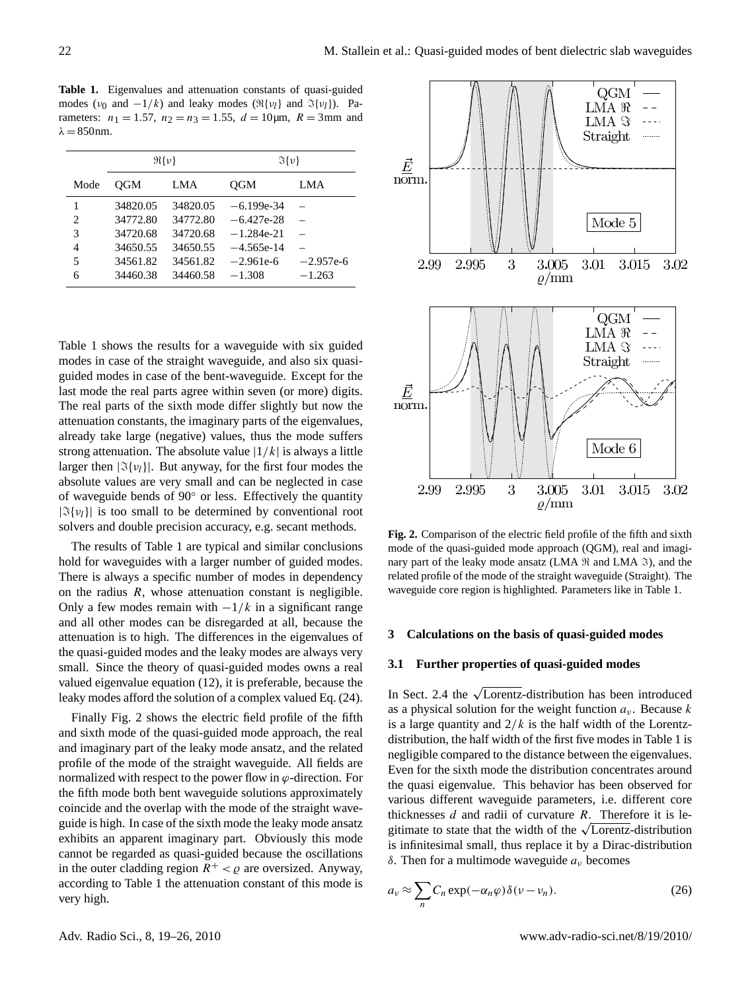<span id="page-3-1"></span>**Table 1.** Eigenvalues and attenuation constants of quasi-guided modes ( $v_0$  and  $-1/k$ ) and leaky modes ( $\Re\{v_l\}$  and  $\Im\{v_l\}$ ). Parameters:  $n_1 = 1.57$ ,  $n_2 = n_3 = 1.55$ ,  $d = 10 \mu m$ ,  $R = 3 \text{mm}$  and  $\lambda = 850$ nm.

|                             | $\mathfrak{R}{\{\nu\}}$ |          | $\Im\{\nu\}$ |             |
|-----------------------------|-------------------------|----------|--------------|-------------|
| Mode                        | OGM                     | LMA      | <b>OGM</b>   | LMA         |
| 1                           | 34820.05                | 34820.05 | $-6.199e-34$ |             |
| $\mathcal{D}_{\mathcal{L}}$ | 34772.80                | 34772.80 | $-6.427e-28$ |             |
| 3                           | 34720.68                | 34720.68 | $-1.284e-21$ |             |
| 4                           | 34650.55                | 34650.55 | $-4.565e-14$ |             |
| 5                           | 34561.82                | 34561.82 | $-2.961e-6$  | $-2.957e-6$ |
| 6                           | 34460.38                | 34460.58 | $-1.308$     | $-1.263$    |

Table [1](#page-3-1) shows the results for a waveguide with six guided modes in case of the straight waveguide, and also six quasiguided modes in case of the bent-waveguide. Except for the last mode the real parts agree within seven (or more) digits. The real parts of the sixth mode differ slightly but now the attenuation constants, the imaginary parts of the eigenvalues, already take large (negative) values, thus the mode suffers strong attenuation. The absolute value  $|1/k|$  is always a little larger then  $|\Im\{\nu_l\}|$ . But anyway, for the first four modes the absolute values are very small and can be neglected in case of waveguide bends of 90◦ or less. Effectively the quantity  $|\Im\{v_l\}|$  is too small to be determined by conventional root solvers and double precision accuracy, e.g. secant methods.

The results of Table [1](#page-3-1) are typical and similar conclusions hold for waveguides with a larger number of guided modes. There is always a specific number of modes in dependency on the radius  $R$ , whose attenuation constant is negligible. Only a few modes remain with  $-1/k$  in a significant range and all other modes can be disregarded at all, because the attenuation is to high. The differences in the eigenvalues of the quasi-guided modes and the leaky modes are always very small. Since the theory of quasi-guided modes owns a real valued eigenvalue equation [\(12\)](#page-1-3), it is preferable, because the leaky modes afford the solution of a complex valued Eq. [\(24\)](#page-2-4).

Finally Fig. [2](#page-3-2) shows the electric field profile of the fifth and sixth mode of the quasi-guided mode approach, the real and imaginary part of the leaky mode ansatz, and the related profile of the mode of the straight waveguide. All fields are normalized with respect to the power flow in  $\varphi$ -direction. For the fifth mode both bent waveguide solutions approximately coincide and the overlap with the mode of the straight waveguide is high. In case of the sixth mode the leaky mode ansatz exhibits an apparent imaginary part. Obviously this mode cannot be regarded as quasi-guided because the oscillations in the outer cladding region  $R^+ < \varrho$  are oversized. Anyway, according to Table [1](#page-3-1) the attenuation constant of this mode is very high.



<span id="page-3-2"></span>**Fig. 2.** Comparison of the electric field profile of the fifth and sixth mode of the quasi-guided mode approach (QGM), real and imaginary part of the leaky mode ansatz (LMA  $\Re$  and LMA  $\Im$ ), and the related profile of the mode of the straight waveguide (Straight). The waveguide core region is highlighted. Parameters like in Table [1.](#page-3-1)

## <span id="page-3-0"></span>**3 Calculations on the basis of quasi-guided modes**

## **3.1 Further properties of quasi-guided modes**

In Sect. [2.4](#page-2-5) the  $\sqrt{\text{Lorentz}}$ -distribution has been introduced as a physical solution for the weight function  $a<sub>v</sub>$ . Because k is a large quantity and  $2/k$  is the half width of the Lorentzdistribution, the half width of the first five modes in Table [1](#page-3-1) is negligible compared to the distance between the eigenvalues. Even for the sixth mode the distribution concentrates around the quasi eigenvalue. This behavior has been observed for various different waveguide parameters, i.e. different core thicknesses  $d$  and radii of curvature  $R$ . Therefore it is lethicknesses *d* and radii of curvature *R*. Therefore it is legitimate to state that the width of the  $\sqrt{\text{Lorentz}}$ -distribution is infinitesimal small, thus replace it by a Dirac-distribution δ. Then for a multimode waveguide  $a<sub>ν</sub>$  becomes

$$
a_{\nu} \approx \sum_{n} C_n \exp(-\alpha_n \varphi) \delta(\nu - \nu_n). \tag{26}
$$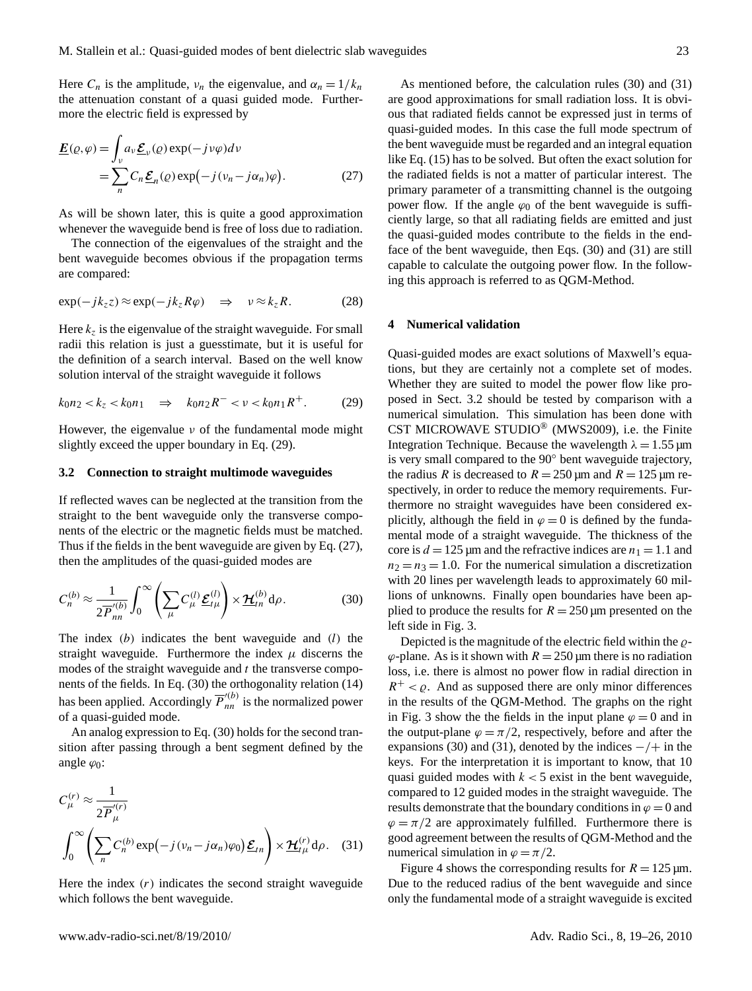Here  $C_n$  is the amplitude,  $\nu_n$  the eigenvalue, and  $\alpha_n = 1/k_n$ the attenuation constant of a quasi guided mode. Furthermore the electric field is expressed by

$$
\underline{E}(\varrho,\varphi) = \int_{\nu} a_{\nu} \underline{\mathcal{E}}_{\nu}(\varrho) \exp(-j \nu \varphi) d\nu
$$
  
= 
$$
\sum_{n} C_{n} \underline{\mathcal{E}}_{n}(\varrho) \exp(-j(\nu_{n} - j \alpha_{n}) \varphi).
$$
 (27)

As will be shown later, this is quite a good approximation whenever the waveguide bend is free of loss due to radiation.

The connection of the eigenvalues of the straight and the bent waveguide becomes obvious if the propagation terms are compared:

$$
\exp(-jk_z z) \approx \exp(-jk_z R\varphi) \quad \Rightarrow \quad \nu \approx k_z R. \tag{28}
$$

Here  $k_z$  is the eigenvalue of the straight waveguide. For small radii this relation is just a guesstimate, but it is useful for the definition of a search interval. Based on the well know solution interval of the straight waveguide it follows

$$
k_0 n_2 < k_z < k_0 n_1 \quad \Rightarrow \quad k_0 n_2 R^- < \nu < k_0 n_1 R^+ \tag{29}
$$

However, the eigenvalue  $\nu$  of the fundamental mode might slightly exceed the upper boundary in Eq. [\(29\)](#page-4-1).

## <span id="page-4-5"></span>**3.2 Connection to straight multimode waveguides**

If reflected waves can be neglected at the transition from the straight to the bent waveguide only the transverse components of the electric or the magnetic fields must be matched. Thus if the fields in the bent waveguide are given by Eq. [\(27\)](#page-4-2), then the amplitudes of the quasi-guided modes are

$$
C_n^{(b)} \approx \frac{1}{2\overline{P}_{nn}^{'(b)}} \int_0^\infty \left( \sum_\mu C_\mu^{(l)} \underline{\mathcal{E}}_{t\mu}^{(l)} \right) \times \underline{\mathcal{H}}_{tn}^{(b)} \mathrm{d}\rho. \tag{30}
$$

The index  $(b)$  indicates the bent waveguide and  $(l)$  the straight waveguide. Furthermore the index  $\mu$  discerns the modes of the straight waveguide and  $t$  the transverse components of the fields. In Eq. [\(30\)](#page-4-3) the orthogonality relation [\(14\)](#page-2-6) has been applied. Accordingly  $\overline{P}_{nn}^{\prime (b)}$  is the normalized power of a quasi-guided mode.

An analog expression to Eq. [\(30\)](#page-4-3) holds for the second transition after passing through a bent segment defined by the angle  $\varphi_0$ :

$$
C_{\mu}^{(r)} \approx \frac{1}{2\overline{P}_{\mu}^{'(r)}}
$$

$$
\int_0^\infty \left( \sum_n C_n^{(b)} \exp\left(-j(\nu_n - j\alpha_n)\varphi_0\right) \underline{\mathcal{E}}_{tn} \right) \times \underline{\mathcal{H}}_{t\mu}^{(r)} d\rho. \quad (31)
$$

Here the index  $(r)$  indicates the second straight waveguide which follows the bent waveguide.

<span id="page-4-2"></span>As mentioned before, the calculation rules [\(30\)](#page-4-3) and [\(31\)](#page-4-4) are good approximations for small radiation loss. It is obvious that radiated fields cannot be expressed just in terms of quasi-guided modes. In this case the full mode spectrum of the bent waveguide must be regarded and an integral equation like Eq. [\(15\)](#page-2-0) has to be solved. But often the exact solution for the radiated fields is not a matter of particular interest. The primary parameter of a transmitting channel is the outgoing power flow. If the angle  $\varphi_0$  of the bent waveguide is sufficiently large, so that all radiating fields are emitted and just the quasi-guided modes contribute to the fields in the endface of the bent waveguide, then Eqs. [\(30\)](#page-4-3) and [\(31\)](#page-4-4) are still capable to calculate the outgoing power flow. In the following this approach is referred to as QGM-Method.

## <span id="page-4-0"></span>**4 Numerical validation**

<span id="page-4-1"></span>Quasi-guided modes are exact solutions of Maxwell's equations, but they are certainly not a complete set of modes. Whether they are suited to model the power flow like proposed in Sect. [3.2](#page-4-5) should be tested by comparison with a numerical simulation. This simulation has been done with CST MICROWAVE STUDIO® (MWS2009), i.e. the Finite Integration Technique. Because the wavelength  $\lambda = 1.55 \,\text{\mu m}$ is very small compared to the 90◦ bent waveguide trajectory, the radius R is decreased to  $R = 250 \,\text{µm}$  and  $R = 125 \,\text{µm}$  respectively, in order to reduce the memory requirements. Furthermore no straight waveguides have been considered explicitly, although the field in  $\varphi = 0$  is defined by the fundamental mode of a straight waveguide. The thickness of the core is  $d = 125 \,\text{\mu m}$  and the refractive indices are  $n_1 = 1.1$  and  $n_2 = n_3 = 1.0$ . For the numerical simulation a discretization with 20 lines per wavelength leads to approximately 60 millions of unknowns. Finally open boundaries have been applied to produce the results for  $R = 250 \,\text{\mu m}$  presented on the left side in Fig. [3.](#page-5-0)

<span id="page-4-3"></span>Depicted is the magnitude of the electric field within the  $\rho$ - $\varphi$ -plane. As is it shown with  $R = 250 \,\mathrm{\mu m}$  there is no radiation loss, i.e. there is almost no power flow in radial direction in  $R^+ < \varrho$ . And as supposed there are only minor differences in the results of the QGM-Method. The graphs on the right in Fig. [3](#page-5-0) show the the fields in the input plane  $\varphi = 0$  and in the output-plane  $\varphi = \pi/2$ , respectively, before and after the expansions [\(30\)](#page-4-3) and [\(31\)](#page-4-4), denoted by the indices  $-/+$  in the keys. For the interpretation it is important to know, that 10 quasi guided modes with  $k < 5$  exist in the bent waveguide, compared to 12 guided modes in the straight waveguide. The results demonstrate that the boundary conditions in  $\varphi = 0$  and  $\varphi = \pi/2$  are approximately fulfilled. Furthermore there is good agreement between the results of QGM-Method and the numerical simulation in  $\varphi = \pi/2$ .

<span id="page-4-4"></span>Figure [4](#page-5-1) shows the corresponding results for  $R = 125 \,\text{\mu m}$ . Due to the reduced radius of the bent waveguide and since only the fundamental mode of a straight waveguide is excited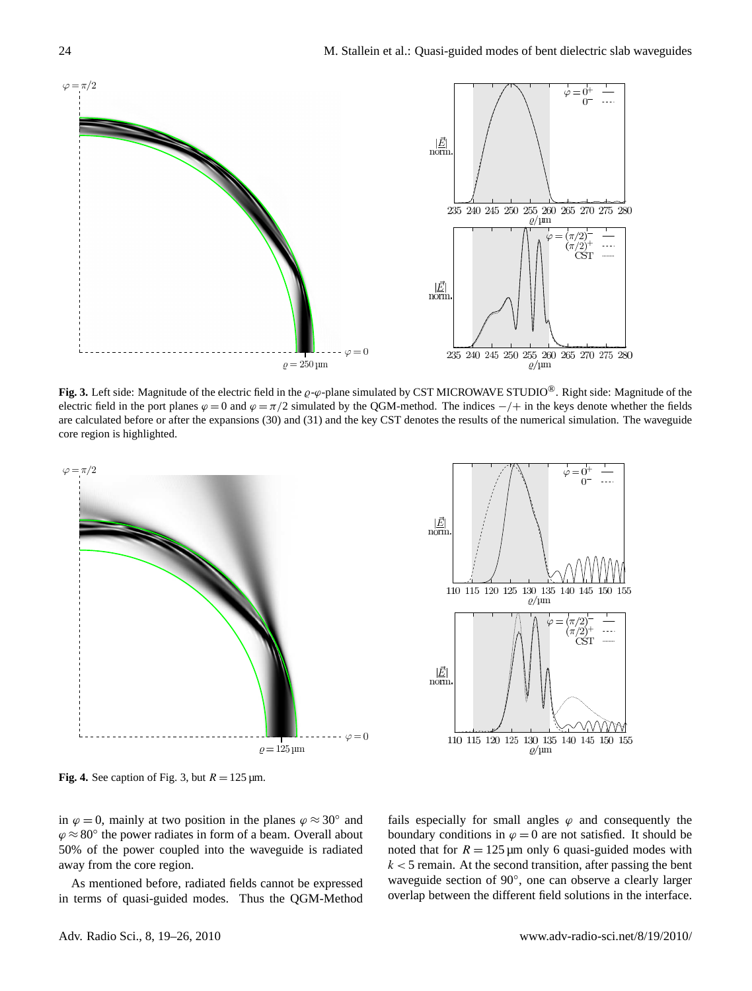

<span id="page-5-0"></span>**Fig. 3.** Left side: Magnitude of the electric field in the  $\varrho-\varphi$ -plane simulated by CST MICROWAVE STUDIO<sup>®</sup>. Right side: Magnitude of the electric field in the port planes  $\varphi = 0$  and  $\varphi = \pi/2$  simulated by the QGM-method. The indices  $-/+$  in the keys denote whether the fields are calculated before or after the expansions [\(30\)](#page-4-3) and [\(31\)](#page-4-4) and the key CST denotes the results of the numerical simulation. The waveguide core region is highlighted.





<span id="page-5-1"></span>**Fig. 4.** See caption of Fig. [3,](#page-5-0) but  $R = 125 \,\text{\mu m}$ .

in  $\varphi = 0$ , mainly at two position in the planes  $\varphi \approx 30^{\circ}$  and  $\varphi \approx 80^{\circ}$  the power radiates in form of a beam. Overall about 50% of the power coupled into the waveguide is radiated away from the core region.

As mentioned before, radiated fields cannot be expressed in terms of quasi-guided modes. Thus the QGM-Method

fails especially for small angles  $\varphi$  and consequently the boundary conditions in  $\varphi = 0$  are not satisfied. It should be noted that for  $R = 125 \mu m$  only 6 quasi-guided modes with  $k < 5$  remain. At the second transition, after passing the bent waveguide section of 90°, one can observe a clearly larger overlap between the different field solutions in the interface.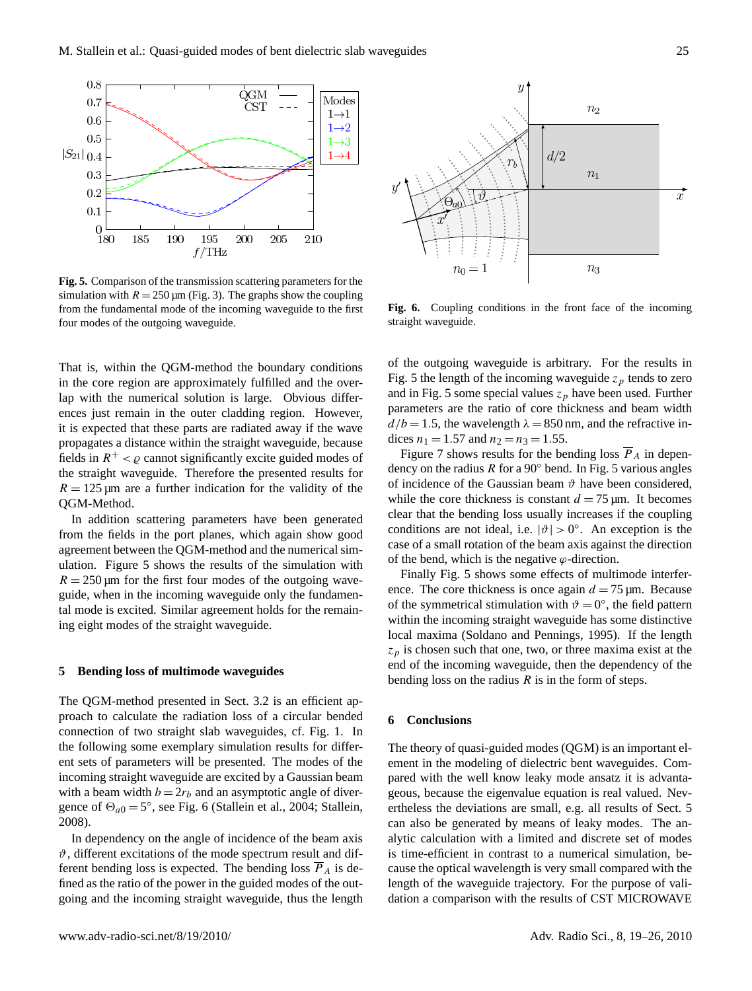

<span id="page-6-1"></span>**Fig. 5.** Comparison of the transmission scattering parameters for the simulation with  $R = 250 \,\text{\mu m}$  (Fig. [3\)](#page-5-0). The graphs show the coupling from the fundamental mode of the incoming waveguide to the first four modes of the outgoing waveguide.

That is, within the QGM-method the boundary conditions in the core region are approximately fulfilled and the overlap with the numerical solution is large. Obvious differences just remain in the outer cladding region. However, it is expected that these parts are radiated away if the wave propagates a distance within the straight waveguide, because fields in  $R^+ < \varrho$  cannot significantly excite guided modes of the straight waveguide. Therefore the presented results for  $R = 125 \,\text{µm}$  are a further indication for the validity of the QGM-Method.

In addition scattering parameters have been generated from the fields in the port planes, which again show good agreement between the QGM-method and the numerical simulation. Figure [5](#page-6-1) shows the results of the simulation with  $R = 250 \,\text{\mu m}$  for the first four modes of the outgoing waveguide, when in the incoming waveguide only the fundamental mode is excited. Similar agreement holds for the remaining eight modes of the straight waveguide.

### <span id="page-6-0"></span>**5 Bending loss of multimode waveguides**

The QGM-method presented in Sect. [3.2](#page-4-5) is an efficient approach to calculate the radiation loss of a circular bended connection of two straight slab waveguides, cf. Fig. [1.](#page-1-0) In the following some exemplary simulation results for different sets of parameters will be presented. The modes of the incoming straight waveguide are excited by a Gaussian beam with a beam width  $b = 2r_b$  and an asymptotic angle of divergence of  $\Theta_{a0} = 5^{\circ}$ , see Fig. [6](#page-6-2) [\(Stallein et al.,](#page-7-7) [2004;](#page-7-7) [Stallein,](#page-7-8) [2008\)](#page-7-8).

In dependency on the angle of incidence of the beam axis  $\vartheta$ , different excitations of the mode spectrum result and different bending loss is expected. The bending loss  $\overline{P}_A$  is defined as the ratio of the power in the guided modes of the outgoing and the incoming straight waveguide, thus the length



<span id="page-6-2"></span>**Fig. 6.** Coupling conditions in the front face of the incoming straight waveguide.

of the outgoing waveguide is arbitrary. For the results in Fig. [5](#page-6-2) the length of the incoming waveguide  $z_p$  tends to zero and in Fig. [5](#page-6-2) some special values  $z_p$  have been used. Further parameters are the ratio of core thickness and beam width  $d/b = 1.5$ , the wavelength  $\lambda = 850$  nm, and the refractive indices  $n_1 = 1.57$  and  $n_2 = n_3 = 1.55$ .

Figure [7](#page-7-9) shows results for the bending loss  $\overline{P}_A$  in dependency on the radius R for a 90 $\degree$  bend. In Fig. [5](#page-6-2) various angles of incidence of the Gaussian beam  $\vartheta$  have been considered, while the core thickness is constant  $d = 75 \,\text{\ensuremath{\mu}m}$ . It becomes clear that the bending loss usually increases if the coupling conditions are not ideal, i.e.  $|\vartheta| > 0^\circ$ . An exception is the case of a small rotation of the beam axis against the direction of the bend, which is the negative  $\varphi$ -direction.

Finally Fig. [5](#page-6-2) shows some effects of multimode interference. The core thickness is once again  $d = 75 \,\text{\ensuremath{\mu}m}$ . Because of the symmetrical stimulation with  $\vartheta = 0^{\circ}$ , the field pattern within the incoming straight waveguide has some distinctive local maxima [\(Soldano and Pennings,](#page-7-10) [1995\)](#page-7-10). If the length  $z_p$  is chosen such that one, two, or three maxima exist at the end of the incoming waveguide, then the dependency of the bending loss on the radius  $R$  is in the form of steps.

### **6 Conclusions**

The theory of quasi-guided modes (QGM) is an important element in the modeling of dielectric bent waveguides. Compared with the well know leaky mode ansatz it is advantageous, because the eigenvalue equation is real valued. Nevertheless the deviations are small, e.g. all results of Sect. [5](#page-6-0) can also be generated by means of leaky modes. The analytic calculation with a limited and discrete set of modes is time-efficient in contrast to a numerical simulation, because the optical wavelength is very small compared with the length of the waveguide trajectory. For the purpose of validation a comparison with the results of CST MICROWAVE